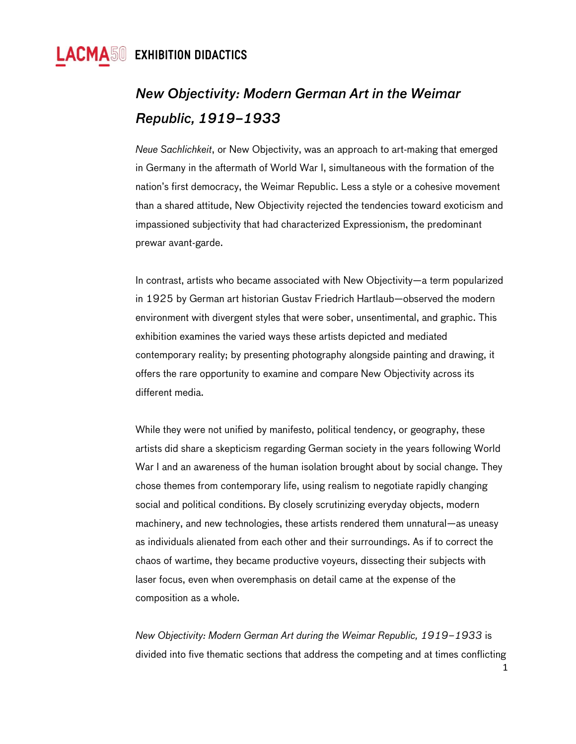# **LACMA50 EXHIBITION DIDACTICS**

# *New Objectivity: Modern German Art in the Weimar Republic, 1919–1933*

*Neue Sachlichkeit*, or New Objectivity, was an approach to art-making that emerged in Germany in the aftermath of World War I, simultaneous with the formation of the nation's first democracy, the Weimar Republic. Less a style or a cohesive movement than a shared attitude, New Objectivity rejected the tendencies toward exoticism and impassioned subjectivity that had characterized Expressionism, the predominant prewar avant-garde.

In contrast, artists who became associated with New Objectivity—a term popularized in 1925 by German art historian Gustav Friedrich Hartlaub—observed the modern environment with divergent styles that were sober, unsentimental, and graphic. This exhibition examines the varied ways these artists depicted and mediated contemporary reality; by presenting photography alongside painting and drawing, it offers the rare opportunity to examine and compare New Objectivity across its different media.

While they were not unified by manifesto, political tendency, or geography, these artists did share a skepticism regarding German society in the years following World War I and an awareness of the human isolation brought about by social change. They chose themes from contemporary life, using realism to negotiate rapidly changing social and political conditions. By closely scrutinizing everyday objects, modern machinery, and new technologies, these artists rendered them unnatural—as uneasy as individuals alienated from each other and their surroundings. As if to correct the chaos of wartime, they became productive voyeurs, dissecting their subjects with laser focus, even when overemphasis on detail came at the expense of the composition as a whole.

*New Objectivity: Modern German Art during the Weimar Republic, 1919–1933* is divided into five thematic sections that address the competing and at times conflicting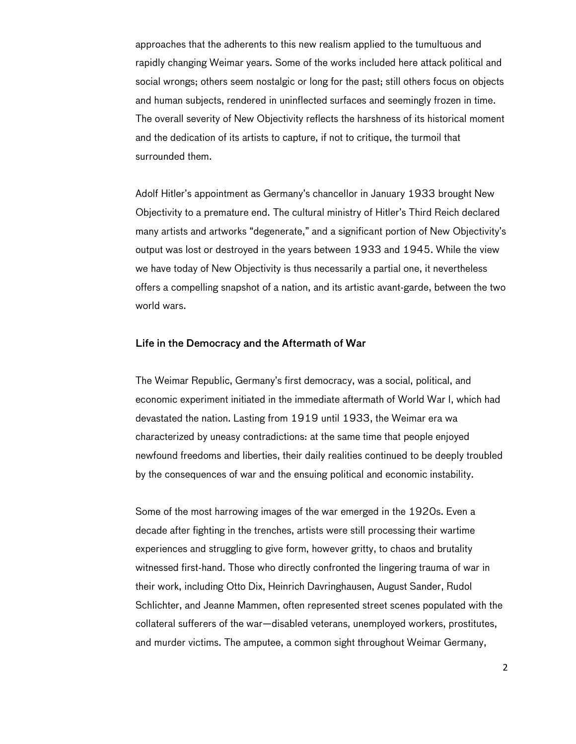approaches that the adherents to this new realism applied to the tumultuous and rapidly changing Weimar years. Some of the works included here attack political and social wrongs; others seem nostalgic or long for the past; still others focus on objects and human subjects, rendered in uninflected surfaces and seemingly frozen in time. The overall severity of New Objectivity reflects the harshness of its historical moment and the dedication of its artists to capture, if not to critique, the turmoil that surrounded them.

Adolf Hitler's appointment as Germany's chancellor in January 1933 brought New Objectivity to a premature end. The cultural ministry of Hitler's Third Reich declared many artists and artworks "degenerate," and a significant portion of New Objectivity's output was lost or destroyed in the years between 1933 and 1945. While the view we have today of New Objectivity is thus necessarily a partial one, it nevertheless offers a compelling snapshot of a nation, and its artistic avant-garde, between the two world wars.

# Life in the Democracy and the Aftermath of War

The Weimar Republic, Germany's first democracy, was a social, political, and economic experiment initiated in the immediate aftermath of World War I, which had devastated the nation. Lasting from 1919 until 1933, the Weimar era wa characterized by uneasy contradictions: at the same time that people enjoyed newfound freedoms and liberties, their daily realities continued to be deeply troubled by the consequences of war and the ensuing political and economic instability.

Some of the most harrowing images of the war emerged in the 1920s. Even a decade after fighting in the trenches, artists were still processing their wartime experiences and struggling to give form, however gritty, to chaos and brutality witnessed first-hand. Those who directly confronted the lingering trauma of war in their work, including Otto Dix, Heinrich Davringhausen, August Sander, Rudol Schlichter, and Jeanne Mammen, often represented street scenes populated with the collateral sufferers of the war—disabled veterans, unemployed workers, prostitutes, and murder victims. The amputee, a common sight throughout Weimar Germany,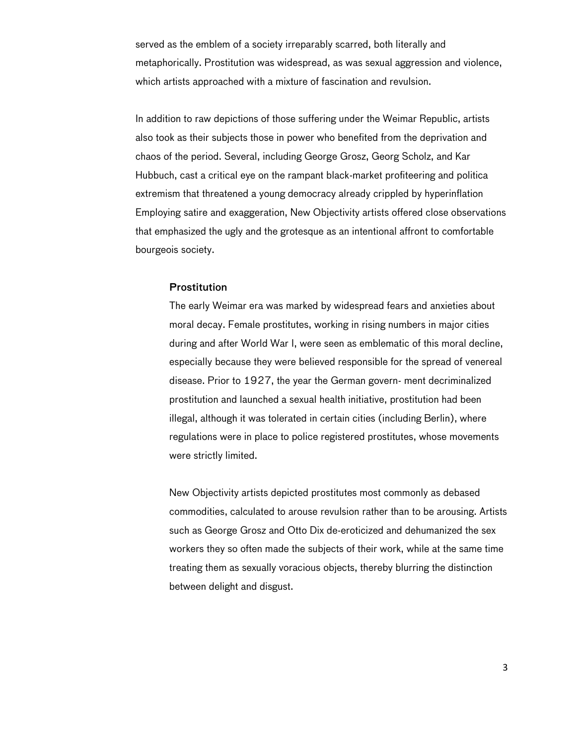served as the emblem of a society irreparably scarred, both literally and metaphorically. Prostitution was widespread, as was sexual aggression and violence, which artists approached with a mixture of fascination and revulsion.

In addition to raw depictions of those suffering under the Weimar Republic, artists also took as their subjects those in power who benefited from the deprivation and chaos of the period. Several, including George Grosz, Georg Scholz, and Kar Hubbuch, cast a critical eye on the rampant black-market profiteering and politica extremism that threatened a young democracy already crippled by hyperinflation Employing satire and exaggeration, New Objectivity artists offered close observations that emphasized the ugly and the grotesque as an intentional affront to comfortable bourgeois society.

# Prostitution

The early Weimar era was marked by widespread fears and anxieties about moral decay. Female prostitutes, working in rising numbers in major cities during and after World War I, were seen as emblematic of this moral decline, especially because they were believed responsible for the spread of venereal disease. Prior to 1927, the year the German govern- ment decriminalized prostitution and launched a sexual health initiative, prostitution had been illegal, although it was tolerated in certain cities (including Berlin), where regulations were in place to police registered prostitutes, whose movements were strictly limited.

New Objectivity artists depicted prostitutes most commonly as debased commodities, calculated to arouse revulsion rather than to be arousing. Artists such as George Grosz and Otto Dix de-eroticized and dehumanized the sex workers they so often made the subjects of their work, while at the same time treating them as sexually voracious objects, thereby blurring the distinction between delight and disgust.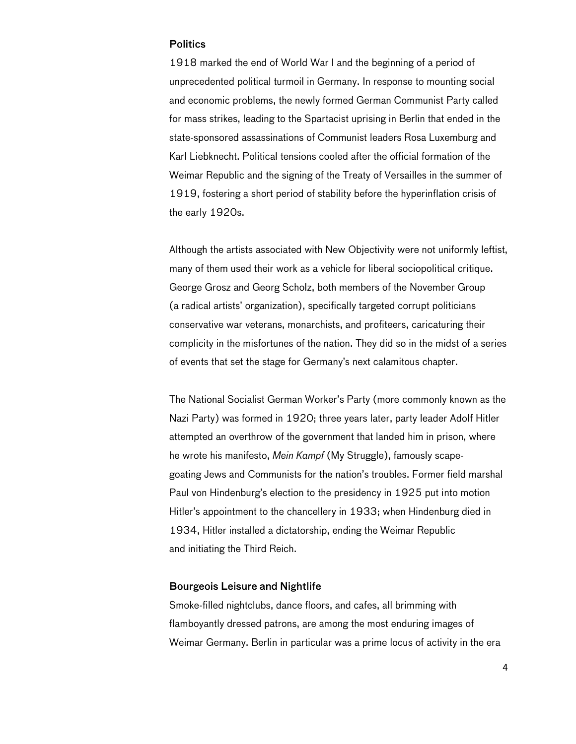# **Politics**

1918 marked the end of World War I and the beginning of a period of unprecedented political turmoil in Germany. In response to mounting social and economic problems, the newly formed German Communist Party called for mass strikes, leading to the Spartacist uprising in Berlin that ended in the state-sponsored assassinations of Communist leaders Rosa Luxemburg and Karl Liebknecht. Political tensions cooled after the official formation of the Weimar Republic and the signing of the Treaty of Versailles in the summer of 1919, fostering a short period of stability before the hyperinflation crisis of the early 1920s.

Although the artists associated with New Objectivity were not uniformly leftist, many of them used their work as a vehicle for liberal sociopolitical critique. George Grosz and Georg Scholz, both members of the November Group (a radical artists' organization), specifically targeted corrupt politicians conservative war veterans, monarchists, and profiteers, caricaturing their complicity in the misfortunes of the nation. They did so in the midst of a series of events that set the stage for Germany's next calamitous chapter.

The National Socialist German Worker's Party (more commonly known as the Nazi Party) was formed in 1920; three years later, party leader Adolf Hitler attempted an overthrow of the government that landed him in prison, where he wrote his manifesto, *Mein Kampf* (My Struggle), famously scapegoating Jews and Communists for the nation's troubles. Former field marshal Paul von Hindenburg's election to the presidency in 1925 put into motion Hitler's appointment to the chancellery in 1933; when Hindenburg died in 1934, Hitler installed a dictatorship, ending the Weimar Republic and initiating the Third Reich.

# Bourgeois Leisure and Nightlife

Smoke-filled nightclubs, dance floors, and cafes, all brimming with flamboyantly dressed patrons, are among the most enduring images of Weimar Germany. Berlin in particular was a prime locus of activity in the era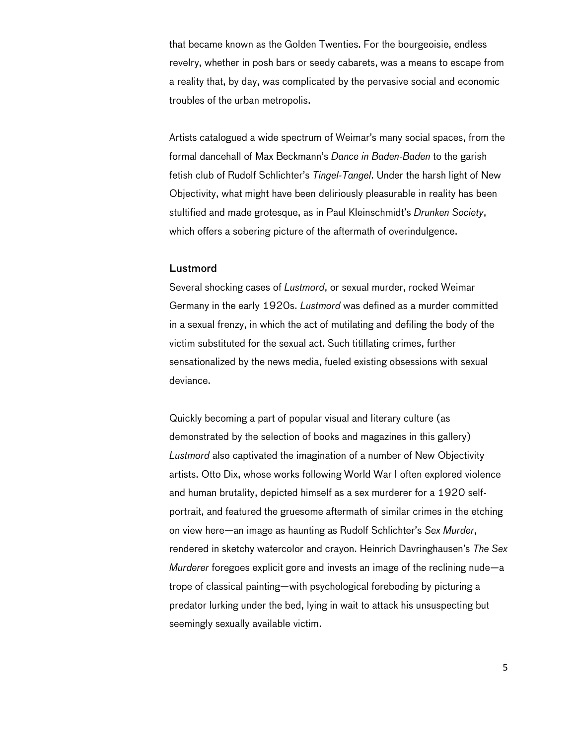that became known as the Golden Twenties. For the bourgeoisie, endless revelry, whether in posh bars or seedy cabarets, was a means to escape from a reality that, by day, was complicated by the pervasive social and economic troubles of the urban metropolis.

Artists catalogued a wide spectrum of Weimar's many social spaces, from the formal dancehall of Max Beckmann's *Dance in Baden-Baden* to the garish fetish club of Rudolf Schlichter's *Tingel-Tangel*. Under the harsh light of New Objectivity, what might have been deliriously pleasurable in reality has been stultified and made grotesque, as in Paul Kleinschmidt's *Drunken Society*, which offers a sobering picture of the aftermath of overindulgence.

# Lustmord

Several shocking cases of *Lustmord*, or sexual murder, rocked Weimar Germany in the early 1920s. *Lustmord* was defined as a murder committed in a sexual frenzy, in which the act of mutilating and defiling the body of the victim substituted for the sexual act. Such titillating crimes, further sensationalized by the news media, fueled existing obsessions with sexual deviance.

Quickly becoming a part of popular visual and literary culture (as demonstrated by the selection of books and magazines in this gallery) *Lustmord* also captivated the imagination of a number of New Objectivity artists. Otto Dix, whose works following World War I often explored violence and human brutality, depicted himself as a sex murderer for a 1920 selfportrait, and featured the gruesome aftermath of similar crimes in the etching on view here—an image as haunting as Rudolf Schlichter's *Sex Murder*, rendered in sketchy watercolor and crayon. Heinrich Davringhausen's *The Sex Murderer* foregoes explicit gore and invests an image of the reclining nude—a trope of classical painting—with psychological foreboding by picturing a predator lurking under the bed, lying in wait to attack his unsuspecting but seemingly sexually available victim.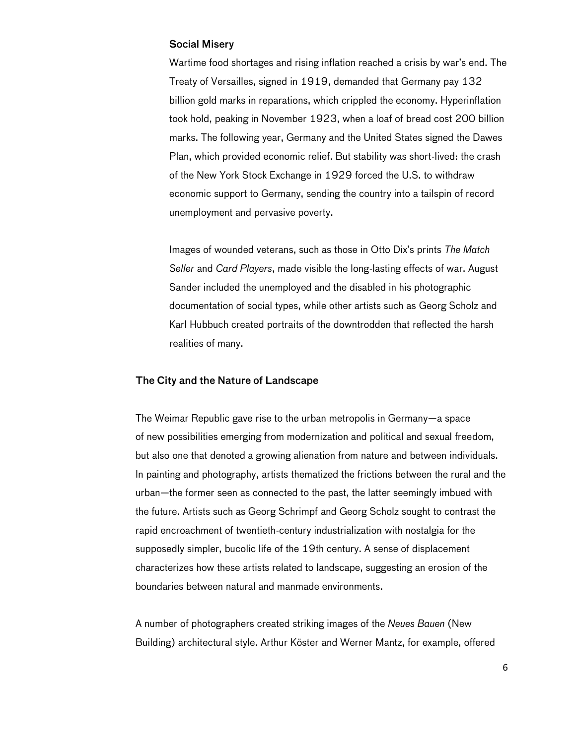# Social Misery

Wartime food shortages and rising inflation reached a crisis by war's end. The Treaty of Versailles, signed in 1919, demanded that Germany pay 132 billion gold marks in reparations, which crippled the economy. Hyperinflation took hold, peaking in November 1923, when a loaf of bread cost 200 billion marks. The following year, Germany and the United States signed the Dawes Plan, which provided economic relief. But stability was short-lived: the crash of the New York Stock Exchange in 1929 forced the U.S. to withdraw economic support to Germany, sending the country into a tailspin of record unemployment and pervasive poverty.

Images of wounded veterans, such as those in Otto Dix's prints *The Match Seller* and *Card Players*, made visible the long-lasting effects of war. August Sander included the unemployed and the disabled in his photographic documentation of social types, while other artists such as Georg Scholz and Karl Hubbuch created portraits of the downtrodden that reflected the harsh realities of many.

# The City and the Nature of Landscape

The Weimar Republic gave rise to the urban metropolis in Germany—a space of new possibilities emerging from modernization and political and sexual freedom, but also one that denoted a growing alienation from nature and between individuals. In painting and photography, artists thematized the frictions between the rural and the urban—the former seen as connected to the past, the latter seemingly imbued with the future. Artists such as Georg Schrimpf and Georg Scholz sought to contrast the rapid encroachment of twentieth-century industrialization with nostalgia for the supposedly simpler, bucolic life of the 19th century. A sense of displacement characterizes how these artists related to landscape, suggesting an erosion of the boundaries between natural and manmade environments.

A number of photographers created striking images of the *Neues Bauen* (New Building) architectural style. Arthur Köster and Werner Mantz, for example, offered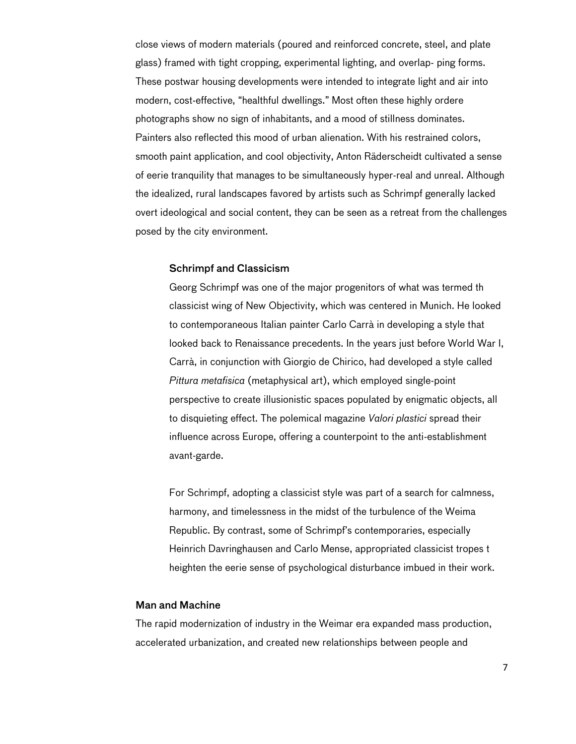close views of modern materials (poured and reinforced concrete, steel, and plate glass) framed with tight cropping, experimental lighting, and overlap- ping forms. These postwar housing developments were intended to integrate light and air into modern, cost-effective, "healthful dwellings." Most often these highly ordere photographs show no sign of inhabitants, and a mood of stillness dominates. Painters also reflected this mood of urban alienation. With his restrained colors, smooth paint application, and cool objectivity, Anton Räderscheidt cultivated a sense of eerie tranquility that manages to be simultaneously hyper-real and unreal. Although the idealized, rural landscapes favored by artists such as Schrimpf generally lacked overt ideological and social content, they can be seen as a retreat from the challenges posed by the city environment.

# Schrimpf and Classicism

Georg Schrimpf was one of the major progenitors of what was termed th classicist wing of New Objectivity, which was centered in Munich. He looked to contemporaneous Italian painter Carlo Carrà in developing a style that looked back to Renaissance precedents. In the years just before World War I, Carrà, in conjunction with Giorgio de Chirico, had developed a style called *Pittura metafisica* (metaphysical art), which employed single-point perspective to create illusionistic spaces populated by enigmatic objects, all to disquieting effect. The polemical magazine *Valori plastici* spread their influence across Europe, offering a counterpoint to the anti-establishment avant-garde.

For Schrimpf, adopting a classicist style was part of a search for calmness, harmony, and timelessness in the midst of the turbulence of the Weima Republic. By contrast, some of Schrimpf's contemporaries, especially Heinrich Davringhausen and Carlo Mense, appropriated classicist tropes t heighten the eerie sense of psychological disturbance imbued in their work.

#### Man and Machine

The rapid modernization of industry in the Weimar era expanded mass production, accelerated urbanization, and created new relationships between people and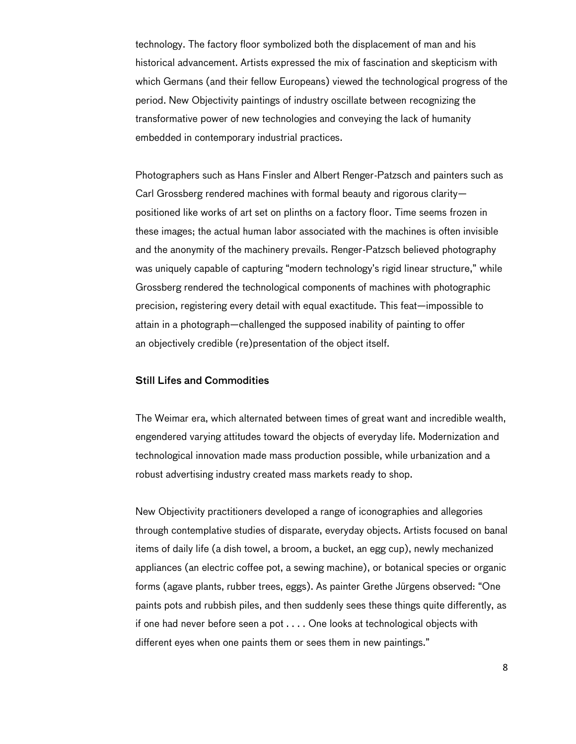technology. The factory floor symbolized both the displacement of man and his historical advancement. Artists expressed the mix of fascination and skepticism with which Germans (and their fellow Europeans) viewed the technological progress of the period. New Objectivity paintings of industry oscillate between recognizing the transformative power of new technologies and conveying the lack of humanity embedded in contemporary industrial practices.

Photographers such as Hans Finsler and Albert Renger-Patzsch and painters such as Carl Grossberg rendered machines with formal beauty and rigorous clarity positioned like works of art set on plinths on a factory floor. Time seems frozen in these images; the actual human labor associated with the machines is often invisible and the anonymity of the machinery prevails. Renger-Patzsch believed photography was uniquely capable of capturing "modern technology's rigid linear structure," while Grossberg rendered the technological components of machines with photographic precision, registering every detail with equal exactitude. This feat—impossible to attain in a photograph—challenged the supposed inability of painting to offer an objectively credible (re)presentation of the object itself.

# Still Lifes and Commodities

The Weimar era, which alternated between times of great want and incredible wealth, engendered varying attitudes toward the objects of everyday life. Modernization and technological innovation made mass production possible, while urbanization and a robust advertising industry created mass markets ready to shop.

New Objectivity practitioners developed a range of iconographies and allegories through contemplative studies of disparate, everyday objects. Artists focused on banal items of daily life (a dish towel, a broom, a bucket, an egg cup), newly mechanized appliances (an electric coffee pot, a sewing machine), or botanical species or organic forms (agave plants, rubber trees, eggs). As painter Grethe Jürgens observed: "One paints pots and rubbish piles, and then suddenly sees these things quite differently, as if one had never before seen a pot . . . . One looks at technological objects with different eyes when one paints them or sees them in new paintings."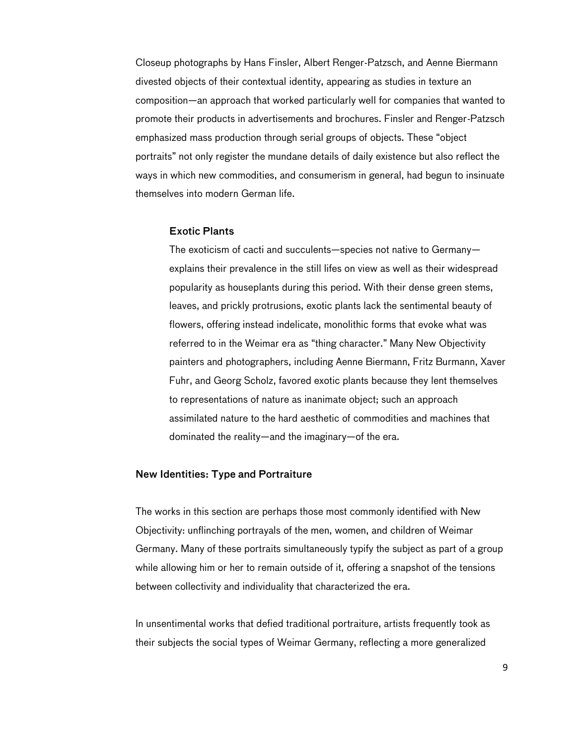Closeup photographs by Hans Finsler, Albert Renger-Patzsch, and Aenne Biermann divested objects of their contextual identity, appearing as studies in texture an composition—an approach that worked particularly well for companies that wanted to promote their products in advertisements and brochures. Finsler and Renger-Patzsch emphasized mass production through serial groups of objects. These "object portraits" not only register the mundane details of daily existence but also reflect the ways in which new commodities, and consumerism in general, had begun to insinuate themselves into modern German life.

# Exotic Plants

The exoticism of cacti and succulents—species not native to Germany explains their prevalence in the still lifes on view as well as their widespread popularity as houseplants during this period. With their dense green stems, leaves, and prickly protrusions, exotic plants lack the sentimental beauty of flowers, offering instead indelicate, monolithic forms that evoke what was referred to in the Weimar era as "thing character." Many New Objectivity painters and photographers, including Aenne Biermann, Fritz Burmann, Xaver Fuhr, and Georg Scholz, favored exotic plants because they lent themselves to representations of nature as inanimate object; such an approach assimilated nature to the hard aesthetic of commodities and machines that dominated the reality—and the imaginary—of the era.

#### New Identities: Type and Portraiture

The works in this section are perhaps those most commonly identified with New Objectivity: unflinching portrayals of the men, women, and children of Weimar Germany. Many of these portraits simultaneously typify the subject as part of a group while allowing him or her to remain outside of it, offering a snapshot of the tensions between collectivity and individuality that characterized the era.

In unsentimental works that defied traditional portraiture, artists frequently took as their subjects the social types of Weimar Germany, reflecting a more generalized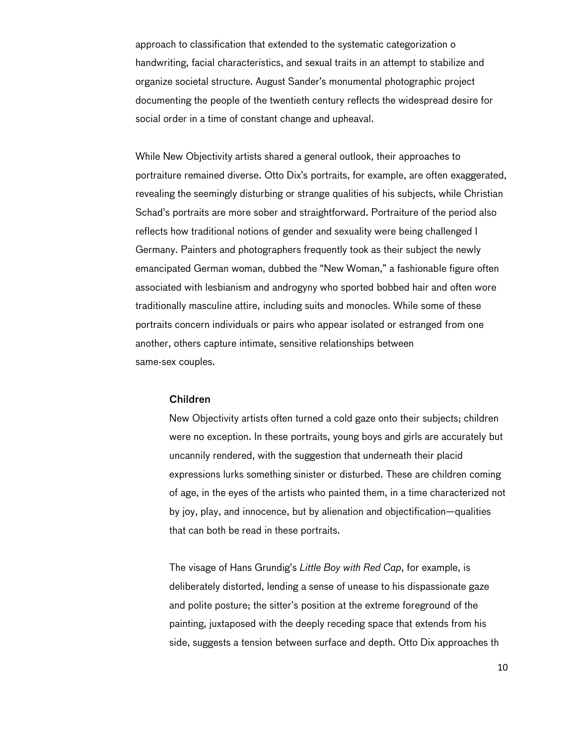approach to classification that extended to the systematic categorization o handwriting, facial characteristics, and sexual traits in an attempt to stabilize and organize societal structure. August Sander's monumental photographic project documenting the people of the twentieth century reflects the widespread desire for social order in a time of constant change and upheaval.

While New Objectivity artists shared a general outlook, their approaches to portraiture remained diverse. Otto Dix's portraits, for example, are often exaggerated, revealing the seemingly disturbing or strange qualities of his subjects, while Christian Schad's portraits are more sober and straightforward. Portraiture of the period also reflects how traditional notions of gender and sexuality were being challenged I Germany. Painters and photographers frequently took as their subject the newly emancipated German woman, dubbed the "New Woman," a fashionable figure often associated with lesbianism and androgyny who sported bobbed hair and often wore traditionally masculine attire, including suits and monocles. While some of these portraits concern individuals or pairs who appear isolated or estranged from one another, others capture intimate, sensitive relationships between same-sex couples.

### Children

New Objectivity artists often turned a cold gaze onto their subjects; children were no exception. In these portraits, young boys and girls are accurately but uncannily rendered, with the suggestion that underneath their placid expressions lurks something sinister or disturbed. These are children coming of age, in the eyes of the artists who painted them, in a time characterized not by joy, play, and innocence, but by alienation and objectification—qualities that can both be read in these portraits.

The visage of Hans Grundig's *Little Boy with Red Cap*, for example, is deliberately distorted, lending a sense of unease to his dispassionate gaze and polite posture; the sitter's position at the extreme foreground of the painting, juxtaposed with the deeply receding space that extends from his side, suggests a tension between surface and depth. Otto Dix approaches th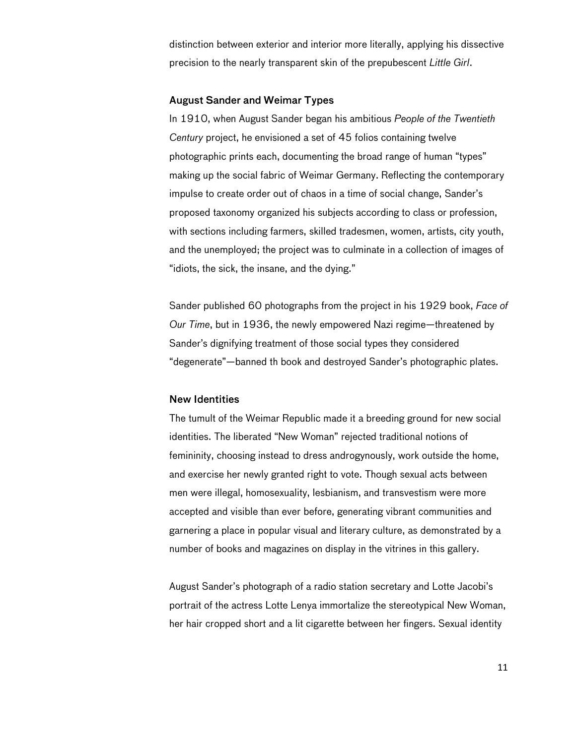distinction between exterior and interior more literally, applying his dissective precision to the nearly transparent skin of the prepubescent *Little Girl*.

# August Sander and Weimar Types

In 1910, when August Sander began his ambitious *People of the Twentieth Century* project, he envisioned a set of 45 folios containing twelve photographic prints each, documenting the broad range of human "types" making up the social fabric of Weimar Germany. Reflecting the contemporary impulse to create order out of chaos in a time of social change, Sander's proposed taxonomy organized his subjects according to class or profession, with sections including farmers, skilled tradesmen, women, artists, city youth, and the unemployed; the project was to culminate in a collection of images of "idiots, the sick, the insane, and the dying."

Sander published 60 photographs from the project in his 1929 book, *Face of Our Time*, but in 1936, the newly empowered Nazi regime—threatened by Sander's dignifying treatment of those social types they considered "degenerate"—banned th book and destroyed Sander's photographic plates.

### New Identities

The tumult of the Weimar Republic made it a breeding ground for new social identities. The liberated "New Woman" rejected traditional notions of femininity, choosing instead to dress androgynously, work outside the home, and exercise her newly granted right to vote. Though sexual acts between men were illegal, homosexuality, lesbianism, and transvestism were more accepted and visible than ever before, generating vibrant communities and garnering a place in popular visual and literary culture, as demonstrated by a number of books and magazines on display in the vitrines in this gallery.

August Sander's photograph of a radio station secretary and Lotte Jacobi's portrait of the actress Lotte Lenya immortalize the stereotypical New Woman, her hair cropped short and a lit cigarette between her fingers. Sexual identity